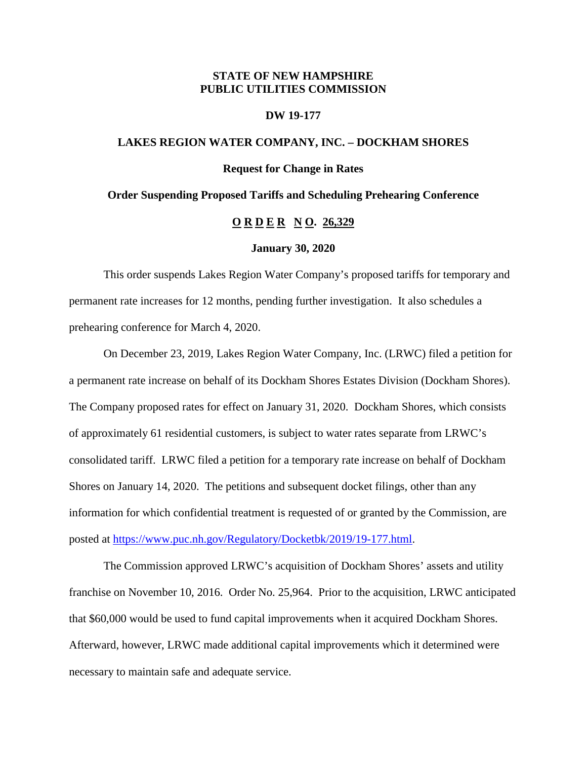## **STATE OF NEW HAMPSHIRE PUBLIC UTILITIES COMMISSION**

## **DW 19-177**

## **LAKES REGION WATER COMPANY, INC. – DOCKHAM SHORES**

## **Request for Change in Rates**

#### **Order Suspending Proposed Tariffs and Scheduling Prehearing Conference**

# **O R D E R N O. 26,329**

#### **January 30, 2020**

This order suspends Lakes Region Water Company's proposed tariffs for temporary and permanent rate increases for 12 months, pending further investigation. It also schedules a prehearing conference for March 4, 2020.

On December 23, 2019, Lakes Region Water Company, Inc. (LRWC) filed a petition for a permanent rate increase on behalf of its Dockham Shores Estates Division (Dockham Shores). The Company proposed rates for effect on January 31, 2020. Dockham Shores, which consists of approximately 61 residential customers, is subject to water rates separate from LRWC's consolidated tariff. LRWC filed a petition for a temporary rate increase on behalf of Dockham Shores on January 14, 2020. The petitions and subsequent docket filings, other than any information for which confidential treatment is requested of or granted by the Commission, are posted at [https://www.puc.nh.gov/Regulatory/Docketbk/2019/19-177.html.](https://www.puc.nh.gov/Regulatory/Docketbk/2019/19-177.html)

The Commission approved LRWC's acquisition of Dockham Shores' assets and utility franchise on November 10, 2016. Order No. 25,964. Prior to the acquisition, LRWC anticipated that \$60,000 would be used to fund capital improvements when it acquired Dockham Shores. Afterward, however, LRWC made additional capital improvements which it determined were necessary to maintain safe and adequate service.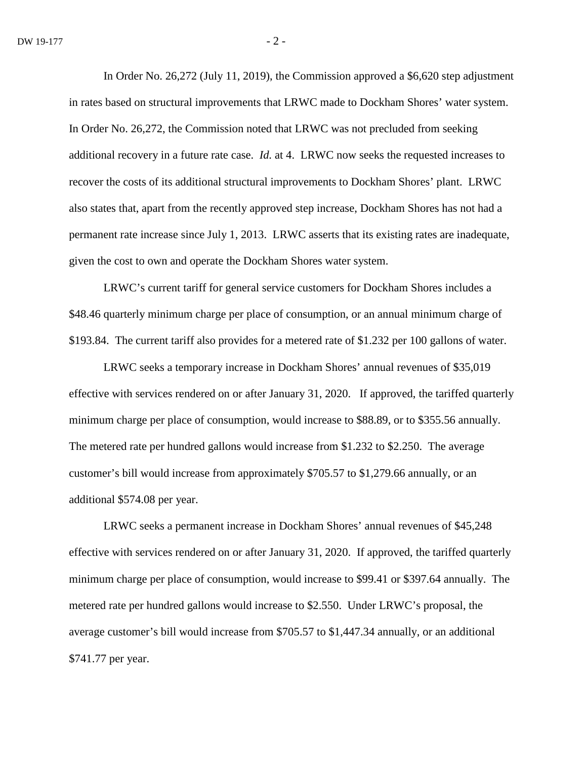In Order No. 26,272 (July 11, 2019), the Commission approved a \$6,620 step adjustment in rates based on structural improvements that LRWC made to Dockham Shores' water system. In Order No. 26,272, the Commission noted that LRWC was not precluded from seeking additional recovery in a future rate case. *Id.* at 4. LRWC now seeks the requested increases to recover the costs of its additional structural improvements to Dockham Shores' plant. LRWC also states that, apart from the recently approved step increase, Dockham Shores has not had a permanent rate increase since July 1, 2013. LRWC asserts that its existing rates are inadequate, given the cost to own and operate the Dockham Shores water system.

LRWC's current tariff for general service customers for Dockham Shores includes a \$48.46 quarterly minimum charge per place of consumption, or an annual minimum charge of \$193.84. The current tariff also provides for a metered rate of \$1.232 per 100 gallons of water.

LRWC seeks a temporary increase in Dockham Shores' annual revenues of \$35,019 effective with services rendered on or after January 31, 2020. If approved, the tariffed quarterly minimum charge per place of consumption, would increase to \$88.89, or to \$355.56 annually. The metered rate per hundred gallons would increase from \$1.232 to \$2.250. The average customer's bill would increase from approximately \$705.57 to \$1,279.66 annually, or an additional \$574.08 per year.

LRWC seeks a permanent increase in Dockham Shores' annual revenues of \$45,248 effective with services rendered on or after January 31, 2020. If approved, the tariffed quarterly minimum charge per place of consumption, would increase to \$99.41 or \$397.64 annually. The metered rate per hundred gallons would increase to \$2.550. Under LRWC's proposal, the average customer's bill would increase from \$705.57 to \$1,447.34 annually, or an additional \$741.77 per year.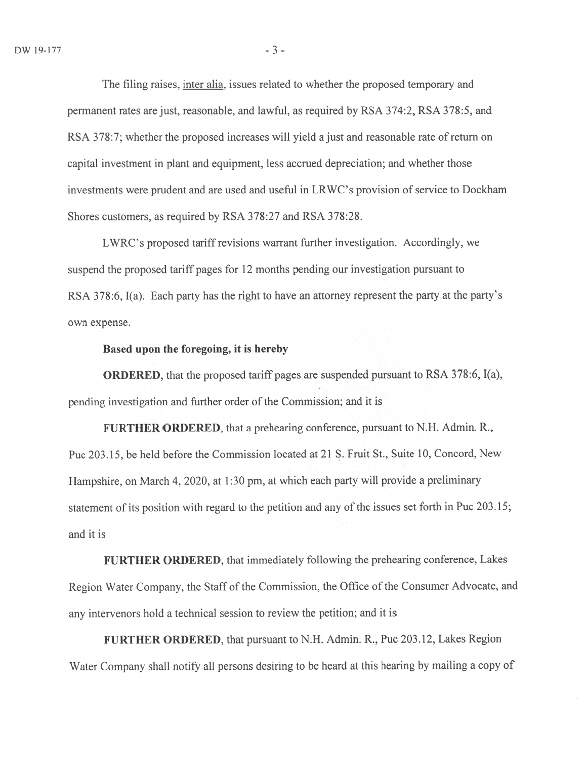The filing raises, inter alia, issues related to whether the proposed temporary and permanen<sup>t</sup> rates are just, reasonable, and lawful, as required by RSA 374:2, RSA 378:5, and RSA 378:7; whether the proposed increases will yield a just and reasonable rate of return on capital investment in plant and equipment, less accrued depreciation; and whether those investments were prudent and are used and useful in LRWC's provision of service to Dockham Shores customers, as required by RSA 378:27 and RSA 378:28.

LWRC's proposed tariff revisions warrant further investigation. Accordingly, we suspend the proposed tariff pages for 12 months pending our investigation pursuant to RSA 378:6, 1(a). Each party has the right to have an attorney represen<sup>t</sup> the party at the party's own expense.

## Based upon the foregoing, it is hereby

ORDERED, that the proposed tariff pages are suspended pursuant to RSA 378:6, I(a), pending investigation and further order of the Commission; and it is

FURTHER ORDERED, that <sup>a</sup> prehearing conference, pursuan<sup>t</sup> to N.H. Admin. R., Puc 203.15, be held before the Commission located at 21 S. Fruit St., Suite 10, Concord, New Hampshire, on March 4, 2020, at 1:30 pm, at which each party will provide a preliminary statement of its position with regar<sup>d</sup> to the petition and any of the issues set forth in Puc 203.15; and it is

FURTHER ORDERED, that immediately following the prehearing conference, Lakes Region Water Company, the Staff of the Commission, the Office of the Consumer Advocate, and any intervenors hold <sup>a</sup> technical session to review the petition; and it is

FURTHER ORDERED, that pursuan<sup>t</sup> to N.H. Admin. R., Puc 203.12, Lakes Region Water Company shall notify all persons desiring to be heard at this hearing by mailing <sup>a</sup> copy of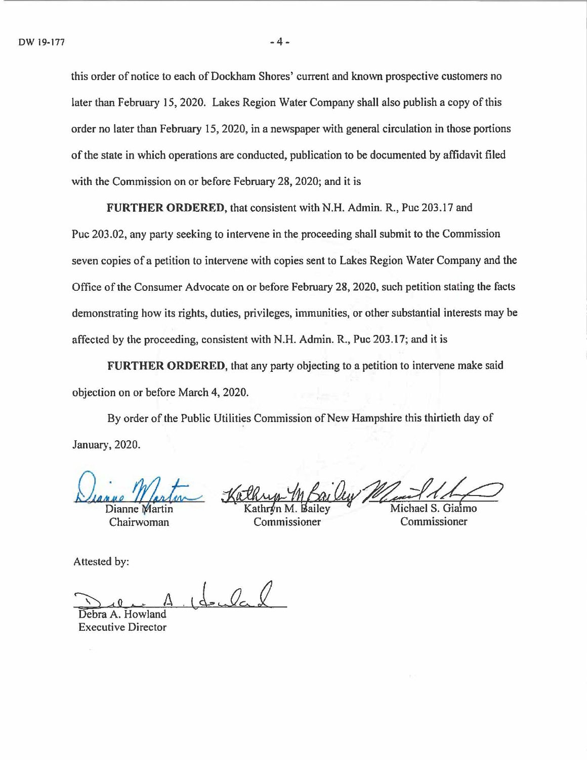this order of notice to each of Dockham Shores' current and known prospective customers no later than February 15, 2020. Lakes Region Water Company shall also publish a copy of this order no later than February 15, 2020, in a newspaper with general circulation in those portions of the state in which operations are conducted, publication to be documented by affidavit filed with the Commission on or before February 28, 2020; and it is

**FURTHER ORDERED,** that consistent with N.H. Admin. R., Puc 203.17 and

Puc 203.02, any party seeking to intervene in the proceeding shall submit to the Commission seven copies of a petition to intervene with copies sent to Lakes Region Water Company and the Office of the Consumer Advocate on or before February 28, 2020, such petition stating the facts demonstrating how its rights, duties, privileges, immunities, or other substantial interests may be affected by the proceeding, consistent with N.H. Admin. R., Puc 203.17; and it is

**FURTHER ORDERED,** that any party objecting to a petition to intervene make said objection on or before March 4, 2020.

By order of the Public Utilities Commission of New Hampshire this thirtieth day of January, 2020.

Dianne Martin

Chairwoman

Warten Kathup M Bailey<br>Nartin Kathryn M. Bailey Marchael S. Giaim

Attested by:

 $1$  decided

Debra A. Howland Executive Director